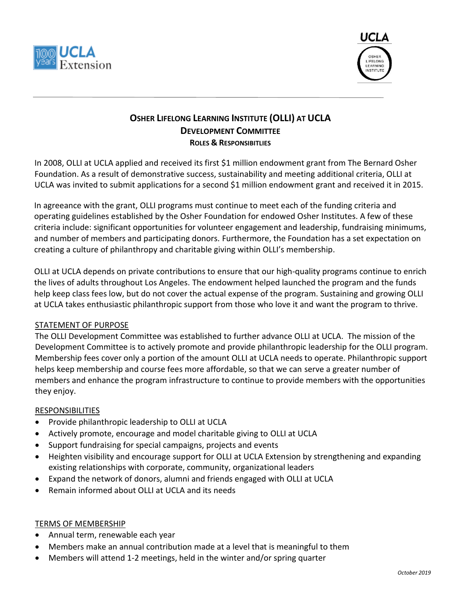



## **OSHER LIFELONG LEARNING INSTITUTE (OLLI) AT UCLA DEVELOPMENT COMMITTEE ROLES & RESPONSIBITLIES**

In 2008, OLLI at UCLA applied and received its first \$1 million endowment grant from The Bernard Osher Foundation. As a result of demonstrative success, sustainability and meeting additional criteria, OLLI at UCLA was invited to submit applications for a second \$1 million endowment grant and received it in 2015.

In agreeance with the grant, OLLI programs must continue to meet each of the funding criteria and operating guidelines established by the Osher Foundation for endowed Osher Institutes. A few of these criteria include: significant opportunities for volunteer engagement and leadership, fundraising minimums, and number of members and participating donors. Furthermore, the Foundation has a set expectation on creating a culture of philanthropy and charitable giving within OLLI's membership.

OLLI at UCLA depends on private contributions to ensure that our high-quality programs continue to enrich the lives of adults throughout Los Angeles. The endowment helped launched the program and the funds help keep class fees low, but do not cover the actual expense of the program. Sustaining and growing OLLI at UCLA takes enthusiastic philanthropic support from those who love it and want the program to thrive.

## STATEMENT OF PURPOSE

The OLLI Development Committee was established to further advance OLLI at UCLA. The mission of the Development Committee is to actively promote and provide philanthropic leadership for the OLLI program. Membership fees cover only a portion of the amount OLLI at UCLA needs to operate. Philanthropic support helps keep membership and course fees more affordable, so that we can serve a greater number of members and enhance the program infrastructure to continue to provide members with the opportunities they enjoy.

#### **RESPONSIBILITIES**

- Provide philanthropic leadership to OLLI at UCLA
- Actively promote, encourage and model charitable giving to OLLI at UCLA
- Support fundraising for special campaigns, projects and events
- Heighten visibility and encourage support for OLLI at UCLA Extension by strengthening and expanding existing relationships with corporate, community, organizational leaders
- Expand the network of donors, alumni and friends engaged with OLLI at UCLA
- Remain informed about OLLI at UCLA and its needs

## TERMS OF MEMBERSHIP

- Annual term, renewable each year
- Members make an annual contribution made at a level that is meaningful to them
- Members will attend 1-2 meetings, held in the winter and/or spring quarter